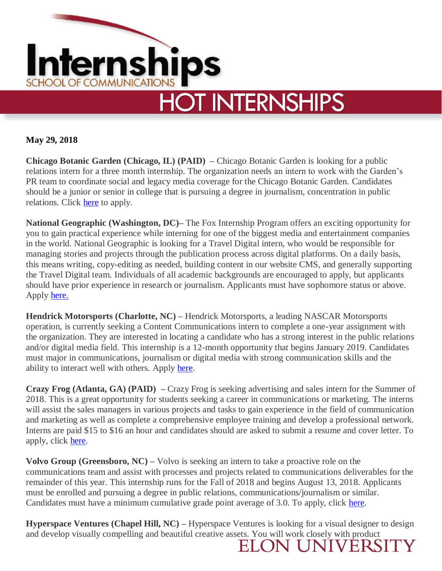

### **May 29, 2018**

**Chicago Botanic Garden (Chicago, IL) (PAID) –** Chicago Botanic Garden is looking for a public relations intern for a three month internship. The organization needs an intern to work with the Garden's PR team to coordinate social and legacy media coverage for the Chicago Botanic Garden. Candidates should be a junior or senior in college that is pursuing a degree in journalism, concentration in public relations. Click [here](https://www.localjobnetwork.com/job/detail/31844886/Public-Relations-Intern) to apply.

**National Geographic (Washington, DC)–** The Fox Internship Program offers an exciting opportunity for you to gain practical experience while interning for one of the biggest media and entertainment companies in the world. National Geographic is looking for a Travel Digital intern, who would be responsible for managing stories and projects through the publication process across digital platforms. On a daily basis, this means writing, copy-editing as needed, building content in our website CMS, and generally supporting the Travel Digital team. Individuals of all academic backgrounds are encouraged to apply, but applicants should have prior experience in research or journalism. Applicants must have sophomore status or above. Apply [here.](https://21cfcareers.com/Search/JobDetail/RINT10077?locale=en)

**Hendrick Motorsports (Charlotte, NC) –** Hendrick Motorsports, a leading NASCAR Motorsports operation, is currently seeking a Content Communications intern to complete a one-year assignment with the organization. They are interested in locating a candidate who has a strong interest in the public relations and/or digital media field. This internship is a 12-month opportunity that begins January 2019. Candidates must major in communications, journalism or digital media with strong communication skills and the ability to interact well with others. Apply [here.](https://usr53.dayforcehcm.com/CandidatePortal/en-US/hms/Site/HMS/CandidateLogin/CreateAccount?postingId=147&redirectUrl=https%3A%2F%2Fusr53.dayforcehcm.com%2FCandidatePortal%2Fen-US%2Fhms%2FSite%2FHMS%2FJobApplication%3FpostingId%3D147)

**Crazy Frog (Atlanta, GA) (PAID) –** Crazy Frog is seeking advertising and sales intern for the Summer of 2018. This is a great opportunity for students seeking a career in communications or marketing. The interns will assist the sales managers in various projects and tasks to gain experience in the field of communication and marketing as well as complete a comprehensive employee training and develop a professional network. Interns are paid \$15 to \$16 an hour and candidates should are asked to submit a resume and cover letter. To apply, click [here.](https://crazy-frog.breezy.hr/p/d1111fdf8ace/apply)

**Volvo Group (Greensboro, NC) –** Volvo is seeking an intern to take a proactive role on the communications team and assist with processes and projects related to communications deliverables for the remainder of this year. This internship runs for the Fall of 2018 and begins August 13, 2018. Applicants must be enrolled and pursuing a degree in public relations, communications/journalism or similar. Candidates must have a minimum cumulative grade point average of 3.0. To apply, click [here.](https://xjobs.brassring.com/TGnewUI/Search/home/HomeWithPreLoad?partnerid=25079&siteid=5171&PageType=JobDetails&jobid=650772&frmSiteId=5169&codes=1-INDEED#jobDetails=650772_5171)

**Hyperspace Ventures (Chapel Hill, NC) –** Hyperspace Ventures is looking for a visual designer to design and develop visually compelling and beautiful creative assets. You will work closely with product  $\rm ELON UNIVERSITY$